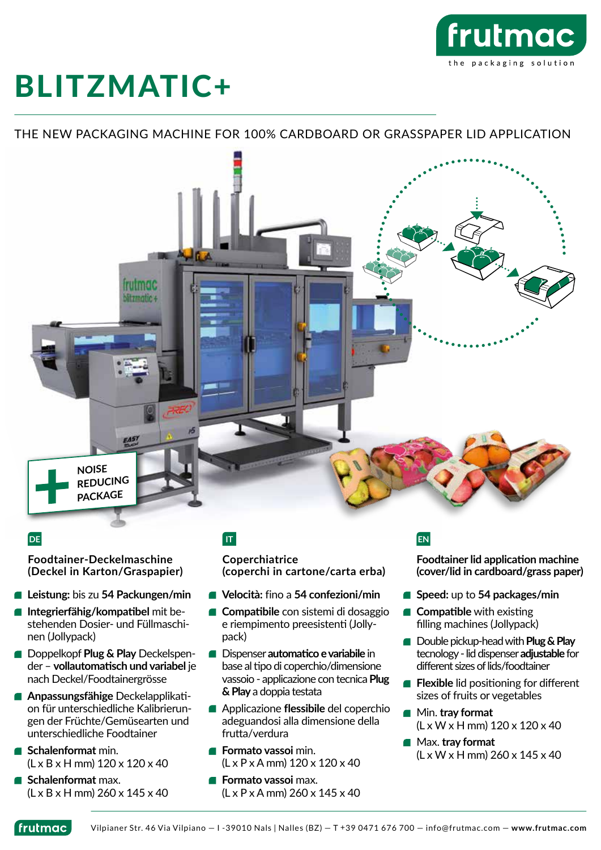

# BLITZMATIC+

#### THE NEW PACKAGING MACHINE FOR 100% CARDBOARD OR GRASSPAPER LID APPLICATION



#### **DE IT EN**

**Foodtainer-Deckelmaschine (Deckel in Karton/Graspapier)**

- **Leistung:** bis zu **54 Packungen/min**
- **Integrierfähig/kompatibel** mit bestehenden Dosier- und Füllmaschinen (Jollypack)
- **Doppelkopf Plug & Play Deckelspen**der – **vollautomatisch und variabel** je nach Deckel/Foodtainergrösse
- **Anpassungsfähige** Deckelapplikation für unterschiedliche Kalibrierungen der Früchte/Gemüsearten und unterschiedliche Foodtainer
- **Schalenformat** min. (L x B x H mm) 120 x 120 x 40
- **Schalenformat** max.  $(L \times B \times H \text{ mm})$  260  $\times$  145  $\times$  40

**Coperchiatrice (coperchi in cartone/carta erba)**

- **Velocità:** fino a **54 confezioni/min**
- **Compatibile** con sistemi di dosaggio e riempimento preesistenti (Jollypack)
- **E** Dispenser **automatico e variabile** in base al tipo di coperchio/dimensione vassoio - applicazione con tecnica **Plug & Play** a doppia testata
- Applicazione **flessibile** del coperchio adeguandosi alla dimensione della frutta/verdura
- **Formato vassoi** min. (L x P x A mm) 120 x 120 x 40
- **Formato vassoi** max. (L x P x A mm) 260 x 145 x 40

**Foodtainer lid application machine (cover/lid in cardboard/grass paper)**

- **Speed:** up to 54 packages/min
- **Compatible** with existing filling machines (Jollypack)
- **Double pickup-head with Plug & Play** tecnology - lid dispenser **adjustable** for different sizes of lids/foodtainer
- **Flexible** lid positioning for different sizes of fruits or vegetables
- Min. **tray format** (L x W x H mm) 120 x 120 x 40
- Max. **tray format** (L x W x H mm) 260 x 145 x 40